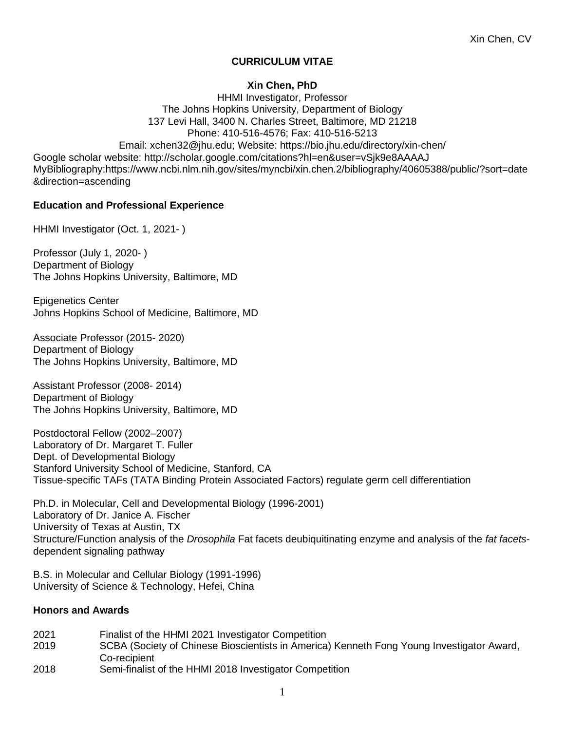## **CURRICULUM VITAE**

## **Xin Chen, PhD**

HHMI Investigator, Professor The Johns Hopkins University, Department of Biology 137 Levi Hall, 3400 N. Charles Street, Baltimore, MD 21218 Phone: 410-516-4576; Fax: 410-516-5213 Email: xchen32@jhu.edu; Website: https://bio.jhu.edu/directory/xin-chen/ Google scholar website: http://scholar.google.com/citations?hl=en&user=vSjk9e8AAAAJ MyBibliography:https://www.ncbi.nlm.nih.gov/sites/myncbi/xin.chen.2/bibliography/40605388/public/?sort=date &direction=ascending

### **Education and Professional Experience**

HHMI Investigator (Oct. 1, 2021-)

Professor (July 1, 2020- ) Department of Biology The Johns Hopkins University, Baltimore, MD

Epigenetics Center Johns Hopkins School of Medicine, Baltimore, MD

Associate Professor (2015- 2020) Department of Biology The Johns Hopkins University, Baltimore, MD

Assistant Professor (2008- 2014) Department of Biology The Johns Hopkins University, Baltimore, MD

Postdoctoral Fellow (2002–2007) Laboratory of Dr. Margaret T. Fuller Dept. of Developmental Biology Stanford University School of Medicine, Stanford, CA Tissue-specific TAFs (TATA Binding Protein Associated Factors) regulate germ cell differentiation

Ph.D. in Molecular, Cell and Developmental Biology (1996-2001) Laboratory of Dr. Janice A. Fischer University of Texas at Austin, TX Structure/Function analysis of the *Drosophila* Fat facets deubiquitinating enzyme and analysis of the *fat facets*dependent signaling pathway

B.S. in Molecular and Cellular Biology (1991-1996) University of Science & Technology, Hefei, China

#### **Honors and Awards**

 Finalist of the HHMI 2021 Investigator Competition SCBA (Society of Chinese Bioscientists in America) Kenneth Fong Young Investigator Award, Co-recipient Semi-finalist of the HHMI 2018 Investigator Competition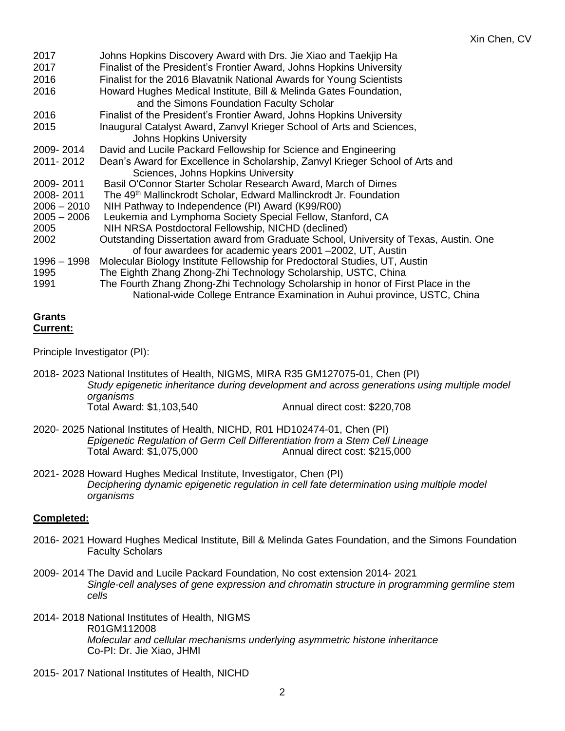| 2017<br>2017  | Johns Hopkins Discovery Award with Drs. Jie Xiao and Taekijp Ha<br>Finalist of the President's Frontier Award, Johns Hopkins University |
|---------------|-----------------------------------------------------------------------------------------------------------------------------------------|
| 2016          | Finalist for the 2016 Blavatnik National Awards for Young Scientists                                                                    |
| 2016          | Howard Hughes Medical Institute, Bill & Melinda Gates Foundation,                                                                       |
|               | and the Simons Foundation Faculty Scholar                                                                                               |
| 2016          | Finalist of the President's Frontier Award, Johns Hopkins University                                                                    |
| 2015          | Inaugural Catalyst Award, Zanvyl Krieger School of Arts and Sciences,                                                                   |
|               | <b>Johns Hopkins University</b>                                                                                                         |
| 2009-2014     | David and Lucile Packard Fellowship for Science and Engineering                                                                         |
| 2011-2012     | Dean's Award for Excellence in Scholarship, Zanvyl Krieger School of Arts and                                                           |
|               | Sciences, Johns Hopkins University                                                                                                      |
| 2009-2011     | Basil O'Connor Starter Scholar Research Award, March of Dimes                                                                           |
| 2008-2011     | The 49 <sup>th</sup> Mallinckrodt Scholar, Edward Mallinckrodt Jr. Foundation                                                           |
| $2006 - 2010$ | NIH Pathway to Independence (PI) Award (K99/R00)                                                                                        |
| $2005 - 2006$ | Leukemia and Lymphoma Society Special Fellow, Stanford, CA                                                                              |
| 2005          | NIH NRSA Postdoctoral Fellowship, NICHD (declined)                                                                                      |
| 2002          | Outstanding Dissertation award from Graduate School, University of Texas, Austin. One                                                   |
|               | of four awardees for academic years 2001 -2002, UT, Austin                                                                              |
| 1996 - 1998   | Molecular Biology Institute Fellowship for Predoctoral Studies, UT, Austin                                                              |
| 1995          | The Eighth Zhang Zhong-Zhi Technology Scholarship, USTC, China                                                                          |
| 1991          | The Fourth Zhang Zhong-Zhi Technology Scholarship in honor of First Place in the                                                        |
|               | National-wide College Entrance Examination in Auhui province, USTC, China                                                               |

#### **Grants Current:**

Principle Investigator (PI):

- 2018- 2023 National Institutes of Health, NIGMS, MIRA R35 GM127075-01, Chen (PI) *Study epigenetic inheritance during development and across generations using multiple model organisms* Annual direct cost: \$220,708
- 2020- 2025 National Institutes of Health, NICHD, R01 HD102474-01, Chen (PI) *Epigenetic Regulation of Germ Cell Differentiation from a Stem Cell Lineage* Annual direct cost: \$215,000
- 2021- 2028 Howard Hughes Medical Institute, Investigator, Chen (PI) *Deciphering dynamic epigenetic regulation in cell fate determination using multiple model organisms*

# **Completed:**

- 2016- 2021 Howard Hughes Medical Institute, Bill & Melinda Gates Foundation, and the Simons Foundation Faculty Scholars
- 2009- 2014 The David and Lucile Packard Foundation, No cost extension 2014- 2021 *Single-cell analyses of gene expression and chromatin structure in programming germline stem cells*
- 2014- 2018 National Institutes of Health, NIGMS R01GM112008 *Molecular and cellular mechanisms underlying asymmetric histone inheritance* Co-PI: Dr. Jie Xiao, JHMI
- 2015- 2017 National Institutes of Health, NICHD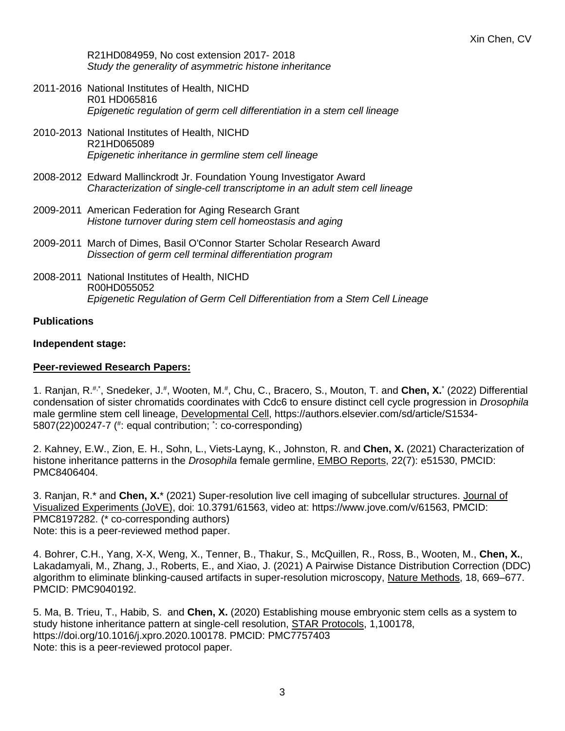R21HD084959, No cost extension 2017- 2018 *Study the generality of asymmetric histone inheritance*

- 2011-2016 National Institutes of Health, NICHD R01 HD065816 *Epigenetic regulation of germ cell differentiation in a stem cell lineage*
- 2010-2013 National Institutes of Health, NICHD R21HD065089 *Epigenetic inheritance in germline stem cell lineage*
- 2008-2012 Edward Mallinckrodt Jr. Foundation Young Investigator Award *Characterization of single-cell transcriptome in an adult stem cell lineage*
- 2009-2011 American Federation for Aging Research Grant *Histone turnover during stem cell homeostasis and aging*
- 2009-2011 March of Dimes, Basil O'Connor Starter Scholar Research Award *Dissection of germ cell terminal differentiation program*
- 2008-2011 National Institutes of Health, NICHD R00HD055052 *Epigenetic Regulation of Germ Cell Differentiation from a Stem Cell Lineage*

#### **Publications**

#### **Independent stage:**

#### **Peer-reviewed Research Papers:**

1. Ranjan, R.<sup>#,\*</sup>, Snedeker, J.<sup>#</sup>, Wooten, M.<sup>#</sup>, Chu, C., Bracero, S., Mouton, T. and Chen, X.<sup>\*</sup> (2022) Differential condensation of sister chromatids coordinates with Cdc6 to ensure distinct cell cycle progression in *Drosophila*  male germline stem cell lineage, Developmental Cell, https://authors.elsevier.com/sd/article/S1534- 5807(22)00247-7 ( # : equal contribution; \* : co-corresponding)

2. Kahney, E.W., Zion, E. H., Sohn, L., Viets-Layng, K., Johnston, R. and **Chen, X.** (2021) Characterization of histone inheritance patterns in the *Drosophila* female germline, EMBO Reports, 22(7): e51530, PMCID: PMC8406404.

3. Ranjan, R.\* and **Chen, X.**\* (2021) Super-resolution live cell imaging of subcellular structures. Journal of Visualized Experiments (JoVE), doi: 10.3791/61563, video at: https://www.jove.com/v/61563, PMCID: PMC8197282. (\* co-corresponding authors) Note: this is a peer-reviewed method paper.

4. Bohrer, C.H., Yang, X-X, Weng, X., Tenner, B., Thakur, S., McQuillen, R., Ross, B., Wooten, M., **Chen, X.**, Lakadamyali, M., Zhang, J., Roberts, E., and Xiao, J. (2021) A Pairwise Distance Distribution Correction (DDC) algorithm to eliminate blinking-caused artifacts in super-resolution microscopy, Nature Methods, 18, 669–677. PMCID: PMC9040192.

5. Ma, B. Trieu, T., Habib, S. and **Chen, X.** (2020) Establishing mouse embryonic stem cells as a system to study histone inheritance pattern at single-cell resolution, **STAR Protocols**, 1,100178, https://doi.org/10.1016/j.xpro.2020.100178. PMCID: PMC7757403 Note: this is a peer-reviewed protocol paper.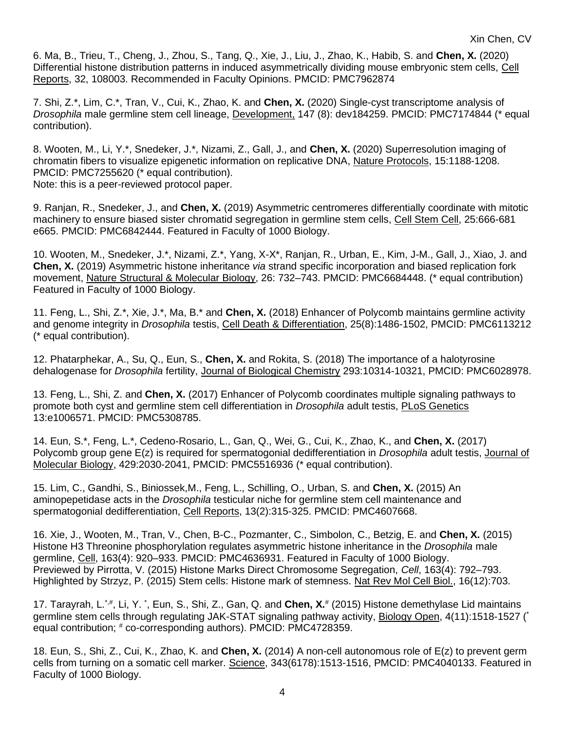6. Ma, B., Trieu, T., Cheng, J., Zhou, S., Tang, Q., Xie, J., Liu, J., Zhao, K., Habib, S. and **Chen, X.** (2020) Differential histone distribution patterns in induced asymmetrically dividing mouse embryonic stem cells, Cell Reports, 32, 108003. Recommended in Faculty Opinions. PMCID: PMC7962874

7. Shi, Z.\*, Lim, C.\*, Tran, V., Cui, K., Zhao, K. and **Chen, X.** (2020) Single-cyst transcriptome analysis of *Drosophila* male germline stem cell lineage, Development, 147 (8): dev184259. PMCID: PMC7174844 (\* equal contribution).

8. Wooten, M., Li, Y.\*, Snedeker, J.\*, Nizami, Z., Gall, J., and **Chen, X.** (2020) Superresolution imaging of chromatin fibers to visualize epigenetic information on replicative DNA, Nature Protocols, 15:1188-1208. PMCID: PMC7255620 (\* equal contribution). Note: this is a peer-reviewed protocol paper.

9. Ranjan, R., Snedeker, J., and **Chen, X.** (2019) Asymmetric centromeres differentially coordinate with mitotic machinery to ensure biased sister chromatid segregation in germline stem cells, Cell Stem Cell, 25:666-681 e665. PMCID: PMC6842444. Featured in Faculty of 1000 Biology.

10. Wooten, M., Snedeker, J.\*, Nizami, Z.\*, Yang, X-X\*, Ranjan, R., Urban, E., Kim, J-M., Gall, J., Xiao, J. and **Chen, X.** (2019) Asymmetric histone inheritance *via* strand specific incorporation and biased replication fork movement, Nature Structural & Molecular Biology, 26: 732–743. PMCID: PMC6684448. (\* equal contribution) Featured in Faculty of 1000 Biology.

11. Feng, L., Shi, Z.\*, Xie, J.\*, Ma, B.\* and **Chen, X.** (2018) Enhancer of Polycomb maintains germline activity and genome integrity in *Drosophila* testis, Cell Death & Differentiation, 25(8):1486-1502, PMCID: PMC6113212 (\* equal contribution).

12. Phatarphekar, A., Su, Q., Eun, S., **Chen, X.** and Rokita, S. (2018) The importance of a halotyrosine dehalogenase for *Drosophila* fertility, Journal of Biological Chemistry 293:10314-10321, PMCID: PMC6028978.

13. Feng, L., Shi, Z. and **Chen, X.** (2017) Enhancer of Polycomb coordinates multiple signaling pathways to promote both cyst and germline stem cell differentiation in *Drosophila* adult testis, PLoS Genetics 13:e1006571. PMCID: PMC5308785.

14. Eun, S.\*, Feng, L.\*, Cedeno-Rosario, L., Gan, Q., Wei, G., Cui, K., Zhao, K., and **Chen, X.** (2017) Polycomb group gene E(z) is required for spermatogonial dedifferentiation in *Drosophila* adult testis, Journal of Molecular Biology, 429:2030-2041, PMCID: PMC5516936 (\* equal contribution).

15. Lim, C., Gandhi, S., Biniossek,M., Feng, L., Schilling, O., Urban, S. and **Chen, X.** (2015) An aminopepetidase acts in the *Drosophila* testicular niche for germline stem cell maintenance and spermatogonial dedifferentiation, Cell Reports, 13(2):315-325. PMCID: PMC4607668.

16. Xie, J., Wooten, M., Tran, V., Chen, B-C., Pozmanter, C., Simbolon, C., Betzig, E. and **Chen, X.** (2015) Histone H3 Threonine phosphorylation regulates asymmetric histone inheritance in the *Drosophila* male germline, Cell, 163(4): 920–933. PMCID: PMC4636931. Featured in Faculty of 1000 Biology. Previewed by Pirrotta, V. (2015) Histone Marks Direct Chromosome Segregation, *Cell*, 163(4): 792–793. Highlighted by Strzyz, P. (2015) Stem cells: Histone mark of stemness. Nat Rev Mol Cell Biol., 16(12):703.

17. Tarayrah, L.<sup>\*,#</sup>, Li, Y. \*, Eun, S., Shi, Z., Gan, Q. and Chen, X.<sup>#</sup> (2015) Histone demethylase Lid maintains germline stem cells through regulating JAK-STAT signaling pathway activity, Biology Open, 4(11):1518-1527 (\* equal contribution; # co-corresponding authors). PMCID: PMC4728359.

18. Eun, S., Shi, Z., Cui, K., Zhao, K. and **Chen, X.** (2014) A non-cell autonomous role of E(z) to prevent germ cells from turning on a somatic cell marker. Science, 343(6178):1513-1516, PMCID: PMC4040133. Featured in Faculty of 1000 Biology.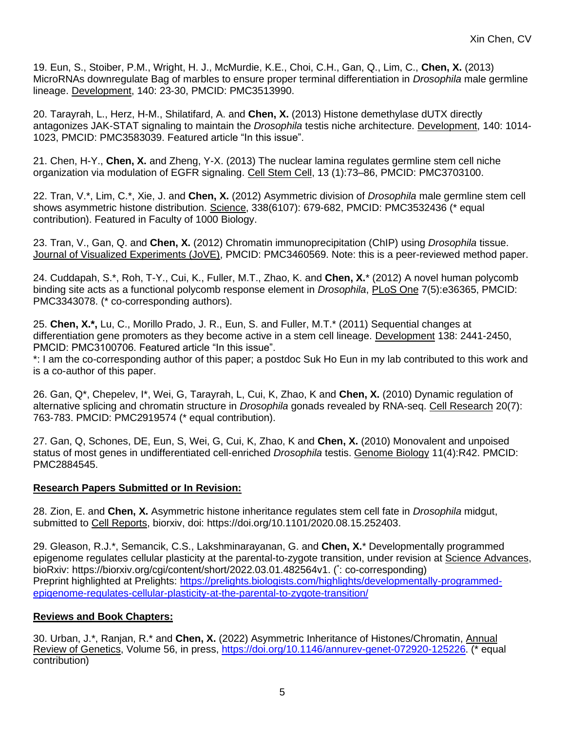19. Eun, S., Stoiber, P.M., Wright, H. J., McMurdie, K.E., Choi, C.H., Gan, Q., Lim, C., **Chen, X.** (2013) MicroRNAs downregulate Bag of marbles to ensure proper terminal differentiation in *Drosophila* male germline lineage. Development, 140: 23-30, PMCID: PMC3513990.

20. Tarayrah, L., Herz, H-M., Shilatifard, A. and **Chen, X.** (2013) Histone demethylase dUTX directly antagonizes JAK-STAT signaling to maintain the *Drosophila* testis niche architecture. Development, 140: 1014- 1023, PMCID: PMC3583039. Featured article "In this issue".

21. Chen, H-Y., **Chen, X.** and Zheng, Y-X. (2013) The nuclear lamina regulates germline stem cell niche organization via modulation of EGFR signaling. Cell Stem Cell, 13 (1):73–86, PMCID: PMC3703100.

22. Tran, V.\*, Lim, C.\*, Xie, J. and **Chen, X.** (2012) Asymmetric division of *Drosophila* male germline stem cell shows asymmetric histone distribution. Science, 338(6107): 679-682, PMCID: PMC3532436 (\* equal contribution). Featured in Faculty of 1000 Biology.

23. Tran, V., Gan, Q. and **Chen, X.** (2012) Chromatin immunoprecipitation (ChIP) using *Drosophila* tissue. Journal of Visualized Experiments (JoVE), PMCID: PMC3460569. Note: this is a peer-reviewed method paper.

24. Cuddapah, S.\*, Roh, T-Y., Cui, K., Fuller, M.T., Zhao, K. and **Chen, X.**\* (2012) A novel human polycomb binding site acts as a functional polycomb response element in *Drosophila*, PLoS One 7(5):e36365, PMCID: PMC3343078. (\* co-corresponding authors).

25. **Chen, X.\*,** Lu, C., Morillo Prado, J. R., Eun, S. and Fuller, M.T.\* (2011) Sequential changes at differentiation gene promoters as they become active in a stem cell lineage. Development 138: 2441-2450, PMCID: PMC3100706. Featured article "In this issue".

\*: I am the co-corresponding author of this paper; a postdoc Suk Ho Eun in my lab contributed to this work and is a co-author of this paper.

26. Gan, Q\*, Chepelev, I\*, Wei, G, Tarayrah, L, Cui, K, Zhao, K and **Chen, X.** (2010) Dynamic regulation of alternative splicing and chromatin structure in *Drosophila* gonads revealed by RNA-seq. Cell Research 20(7): 763-783. PMCID: PMC2919574 (\* equal contribution).

27. Gan, Q, Schones, DE, Eun, S, Wei, G, Cui, K, Zhao, K and **Chen, X.** (2010) Monovalent and unpoised status of most genes in undifferentiated cell-enriched *Drosophila* testis. Genome Biology 11(4):R42. PMCID: PMC2884545.

#### **Research Papers Submitted or In Revision:**

28. Zion, E. and **Chen, X.** Asymmetric histone inheritance regulates stem cell fate in *Drosophila* midgut, submitted to Cell Reports, biorxiv, doi: https://doi.org/10.1101/2020.08.15.252403.

29. Gleason, R.J.\*, Semancik, C.S., Lakshminarayanan, G. and **Chen, X.**\* Developmentally programmed epigenome regulates cellular plasticity at the parental-to-zygote transition, under revision at Science Advances, bioRxiv: [https://biorxiv.org/cgi/content/short/2022.03.01.482564v1.](https://biorxiv.org/cgi/content/short/2022.03.01.482564v1) (\*: co-corresponding) Preprint highlighted at Prelights: [https://prelights.biologists.com/highlights/developmentally-programmed](https://prelights.biologists.com/highlights/developmentally-programmed-epigenome-regulates-cellular-plasticity-at-the-parental-to-zygote-transition/)[epigenome-regulates-cellular-plasticity-at-the-parental-to-zygote-transition/](https://prelights.biologists.com/highlights/developmentally-programmed-epigenome-regulates-cellular-plasticity-at-the-parental-to-zygote-transition/)

## **Reviews and Book Chapters:**

30. Urban, J.\*, Ranjan, R.\* and **Chen, X.** (2022) Asymmetric Inheritance of Histones/Chromatin, Annual Review of Genetics, Volume 56, in press, [https://doi.org/10.1146/annurev-genet-072920-125226.](https://doi.org/10.1146/annurev-genet-072920-125226) (\* equal contribution)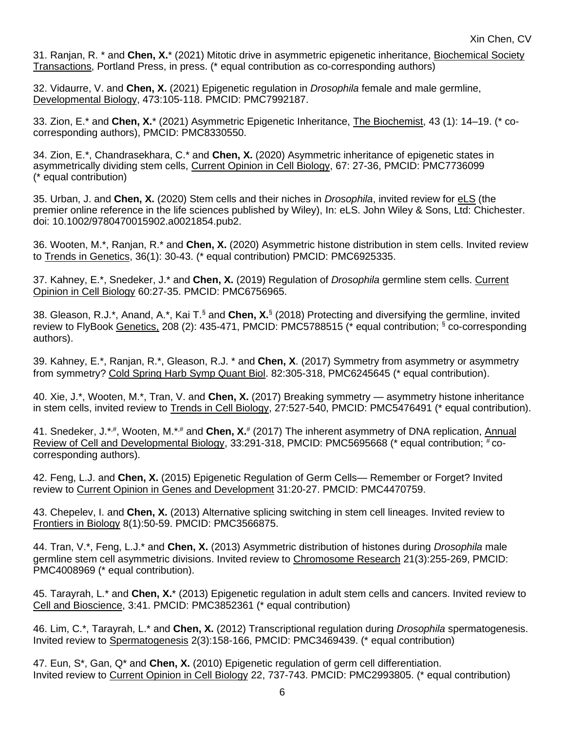31. Ranjan, R. \* and **Chen, X.**\* (2021) Mitotic drive in asymmetric epigenetic inheritance, Biochemical Society Transactions, Portland Press, in press. (\* equal contribution as co-corresponding authors)

32. Vidaurre, V. and **Chen, X.** (2021) Epigenetic regulation in *Drosophila* female and male germline, Developmental Biology, 473:105-118. PMCID: PMC7992187.

33. Zion, E.\* and **Chen, X.**\* (2021) Asymmetric Epigenetic Inheritance, The Biochemist, 43 (1): 14–19. (\* cocorresponding authors), PMCID: PMC8330550.

34. Zion, E.\*, Chandrasekhara, C.\* and **Chen, X.** (2020) Asymmetric inheritance of epigenetic states in asymmetrically dividing stem cells, Current Opinion in Cell Biology, 67: 27-36, PMCID: PMC7736099 (\* equal contribution)

35. Urban, J. and **Chen, X.** (2020) Stem cells and their niches in *Drosophila*, invited review for eLS (the premier online reference in the life sciences published by Wiley), In: eLS. John Wiley & Sons, Ltd: Chichester. doi: 10.1002/9780470015902.a0021854.pub2.

36. Wooten, M.\*, Ranjan, R.\* and **Chen, X.** (2020) Asymmetric histone distribution in stem cells. Invited review to Trends in Genetics, 36(1): 30-43. (\* equal contribution) PMCID: PMC6925335.

37. Kahney, E.\*, Snedeker, J.\* and **Chen, X.** (2019) Regulation of *Drosophila* germline stem cells. Current Opinion in Cell Biology 60:27-35. PMCID: PMC6756965.

38. Gleason, R.J.\*, Anand, A.\*, Kai T.§ and **Chen, X.**§ (2018) Protecting and diversifying the germline, invited review to FlyBook Genetics, 208 (2): 435-471, PMCID: PMC5788515 (\* equal contribution; § co-corresponding authors).

39. Kahney, E.\*, Ranjan, R.\*, Gleason, R.J. \* and **Chen, X**. (2017) Symmetry from asymmetry or asymmetry from symmetry? Cold Spring Harb Symp Quant Biol. 82:305-318, PMC6245645 (\* equal contribution).

40. Xie, J.\*, Wooten, M.\*, Tran, V. and **Chen, X.** (2017) Breaking symmetry — asymmetry histone inheritance in stem cells, invited review to Trends in Cell Biology, 27:527-540, PMCID: PMC5476491 (\* equal contribution).

41. Snedeker, J.\*,#, Wooten, M.\*,# and Chen, X.<sup>#</sup> (2017) The inherent asymmetry of DNA replication, Annual Review of Cell and Developmental Biology, 33:291-318, PMCID: PMC5695668 (\* equal contribution;  $\frac{1}{r}$ cocorresponding authors).

42. Feng, L.J. and **Chen, X.** (2015) Epigenetic Regulation of Germ Cells— Remember or Forget? Invited review to Current Opinion in Genes and Development 31:20-27. PMCID: PMC4470759.

43. Chepelev, I. and **Chen, X.** (2013) Alternative splicing switching in stem cell lineages. Invited review to Frontiers in Biology 8(1):50-59. PMCID: PMC3566875.

44. Tran, V.\*, Feng, L.J.\* and **Chen, X.** (2013) Asymmetric distribution of histones during *Drosophila* male germline stem cell asymmetric divisions. Invited review to Chromosome Research 21(3):255-269, PMCID: PMC4008969 (\* equal contribution).

45. Tarayrah, L.\* and **Chen, X.**\* (2013) Epigenetic regulation in adult stem cells and cancers. Invited review to Cell and Bioscience, 3:41. PMCID: PMC3852361 (\* equal contribution)

46. Lim, C.\*, Tarayrah, L.\* and **Chen, X.** (2012) Transcriptional regulation during *Drosophila* spermatogenesis. Invited review to Spermatogenesis 2(3):158-166, PMCID: PMC3469439. (\* equal contribution)

47. Eun, S\*, Gan, Q\* and **Chen, X.** (2010) Epigenetic regulation of germ cell differentiation. Invited review to Current Opinion in Cell Biology 22, 737-743. PMCID: PMC2993805. (\* equal contribution)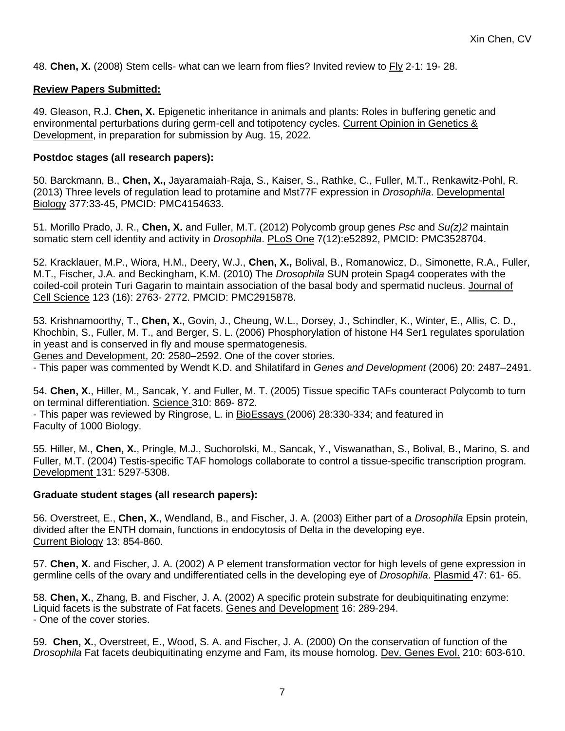48. **Chen, X.** (2008) Stem cells- what can we learn from flies? Invited review to Fly 2-1: 19- 28.

#### **Review Papers Submitted:**

49. Gleason, R.J. **Chen, X.** Epigenetic inheritance in animals and plants: Roles in buffering genetic and environmental perturbations during germ-cell and totipotency cycles. Current Opinion in Genetics & Development, in preparation for submission by Aug. 15, 2022.

#### **Postdoc stages (all research papers):**

50. Barckmann, B., **Chen, X.,** Jayaramaiah-Raja, S., Kaiser, S., Rathke, C., Fuller, M.T., Renkawitz-Pohl, R. (2013) Three levels of regulation lead to protamine and Mst77F expression in *Drosophila*. Developmental Biology 377:33-45, PMCID: PMC4154633.

51. Morillo Prado, J. R., **Chen, X.** and Fuller, M.T. (2012) Polycomb group genes *Psc* and *Su(z)2* maintain somatic stem cell identity and activity in *Drosophila*. PLoS One 7(12):e52892, PMCID: PMC3528704.

52. Kracklauer, M.P., Wiora, H.M., Deery, W.J., **Chen, X.,** Bolival, B., Romanowicz, D., Simonette, R.A., Fuller, M.T., Fischer, J.A. and Beckingham, K.M. (2010) The *Drosophila* SUN protein Spag4 cooperates with the coiled-coil protein Turi Gagarin to maintain association of the basal body and spermatid nucleus. Journal of Cell Science 123 (16): 2763- 2772. PMCID: PMC2915878.

53. Krishnamoorthy, T., **Chen, X.**, Govin, J., Cheung, W.L., Dorsey, J., Schindler, K., Winter, E., Allis, C. D., Khochbin, S., Fuller, M. T., and Berger, S. L. (2006) Phosphorylation of histone H4 Ser1 regulates sporulation in yeast and is conserved in fly and mouse spermatogenesis.

Genes and Development, 20: 2580–2592. One of the cover stories.

- This paper was commented by Wendt K.D. and Shilatifard in *Genes and Development* (2006) 20: 2487–2491.

54. **Chen, X.**, Hiller, M., Sancak, Y. and Fuller, M. T. (2005) Tissue specific TAFs counteract Polycomb to turn on terminal differentiation. Science 310: 869- 872.

- This paper was reviewed by Ringrose, L. in BioEssays (2006) 28:330-334; and featured in Faculty of 1000 Biology.

55. Hiller, M., **Chen, X.**, Pringle, M.J., Suchorolski, M., Sancak, Y., Viswanathan, S., Bolival, B., Marino, S. and Fuller, M.T. (2004) Testis-specific TAF homologs collaborate to control a tissue-specific transcription program. Development 131: 5297-5308.

## **Graduate student stages (all research papers):**

56. Overstreet, E., **Chen, X.**, Wendland, B., and Fischer, J. A. (2003) Either part of a *Drosophila* Epsin protein, divided after the ENTH domain, functions in endocytosis of Delta in the developing eye. Current Biology 13: 854-860.

57. **Chen, X.** and Fischer, J. A. (2002) A P element transformation vector for high levels of gene expression in germline cells of the ovary and undifferentiated cells in the developing eye of *Drosophila*. Plasmid 47: 61- 65.

58. **Chen, X.**, Zhang, B. and Fischer, J. A. (2002) A specific protein substrate for deubiquitinating enzyme: Liquid facets is the substrate of Fat facets. Genes and Development 16: 289-294. - One of the cover stories.

59. **Chen, X.**, Overstreet, E., Wood, S. A. and Fischer, J. A. (2000) On the conservation of function of the *Drosophila* Fat facets deubiquitinating enzyme and Fam, its mouse homolog. Dev. Genes Evol. 210: 603-610.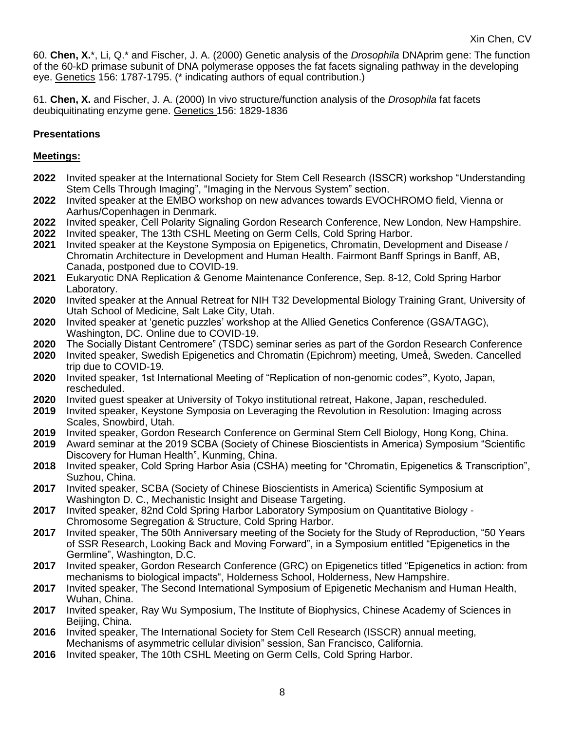60. **Chen, X.**\*, Li, Q.\* and Fischer, J. A. (2000) Genetic analysis of the *Drosophila* DNAprim gene: The function of the 60-kD primase subunit of DNA polymerase opposes the fat facets signaling pathway in the developing eye. Genetics 156: 1787-1795. (\* indicating authors of equal contribution.)

61. **Chen, X.** and Fischer, J. A. (2000) In vivo structure/function analysis of the *Drosophila* fat facets deubiquitinating enzyme gene. Genetics 156: 1829-1836

## **Presentations**

### **Meetings:**

- **2022** Invited speaker at the International Society for Stem Cell Research (ISSCR) workshop "Understanding Stem Cells Through Imaging", "Imaging in the Nervous System" section.
- **2022** Invited speaker at the EMBO workshop on new advances towards EVOCHROMO field, Vienna or Aarhus/Copenhagen in Denmark.
- **2022** Invited speaker, Cell Polarity Signaling Gordon Research Conference, New London, New Hampshire.
- **2022** Invited speaker, The 13th CSHL Meeting on Germ Cells, Cold Spring Harbor.
- **2021** Invited speaker at the Keystone Symposia on Epigenetics, Chromatin, Development and Disease / Chromatin Architecture in Development and Human Health. Fairmont Banff Springs in Banff, AB, Canada, postponed due to COVID-19.
- **2021** Eukaryotic DNA Replication & Genome Maintenance Conference, Sep. 8-12, Cold Spring Harbor Laboratory.
- **2020** Invited speaker at the Annual Retreat for NIH T32 Developmental Biology Training Grant, University of Utah School of Medicine, Salt Lake City, Utah.
- **2020** Invited speaker at 'genetic puzzles' workshop at the Allied Genetics Conference (GSA/TAGC), Washington, DC. Online due to COVID-19.
- **2020** The Socially Distant Centromere" (TSDC) seminar series as part of the Gordon Research Conference
- **2020** Invited speaker, Swedish Epigenetics and Chromatin (Epichrom) meeting, Umeå, Sweden. Cancelled trip due to COVID-19.
- **2020** Invited speaker, 1st International Meeting of "Replication of non-genomic codes**"**, Kyoto, Japan, rescheduled.
- **2020** Invited guest speaker at University of Tokyo institutional retreat, Hakone, Japan, rescheduled.
- **2019** Invited speaker, Keystone Symposia on Leveraging the Revolution in Resolution: Imaging across Scales, Snowbird, Utah.
- **2019** Invited speaker, Gordon Research Conference on Germinal Stem Cell Biology, Hong Kong, China.
- **2019** Award seminar at the 2019 SCBA (Society of Chinese Bioscientists in America) Symposium "Scientific Discovery for Human Health", Kunming, China.
- **2018** Invited speaker, Cold Spring Harbor Asia (CSHA) meeting for "Chromatin, Epigenetics & Transcription", Suzhou, China.
- **2017** Invited speaker, SCBA (Society of Chinese Bioscientists in America) Scientific Symposium at Washington D. C., Mechanistic Insight and Disease Targeting.
- **2017** Invited speaker, 82nd Cold Spring Harbor Laboratory Symposium on Quantitative Biology Chromosome Segregation & Structure, Cold Spring Harbor.
- **2017** Invited speaker, The 50th Anniversary meeting of the Society for the Study of Reproduction, "50 Years of SSR Research, Looking Back and Moving Forward", in a Symposium entitled "Epigenetics in the Germline", Washington, D.C.
- **2017** Invited speaker, Gordon Research Conference (GRC) on Epigenetics titled "Epigenetics in action: from mechanisms to biological impacts", Holderness School, Holderness, New Hampshire.
- **2017** Invited speaker, The Second International Symposium of Epigenetic Mechanism and Human Health, Wuhan, China.
- **2017** Invited speaker, Ray Wu Symposium, The Institute of Biophysics, Chinese Academy of Sciences in Beijing, China.
- **2016** Invited speaker, The International Society for Stem Cell Research (ISSCR) annual meeting, Mechanisms of asymmetric cellular division" session, San Francisco, California.
- **2016** Invited speaker, The 10th CSHL Meeting on Germ Cells, Cold Spring Harbor.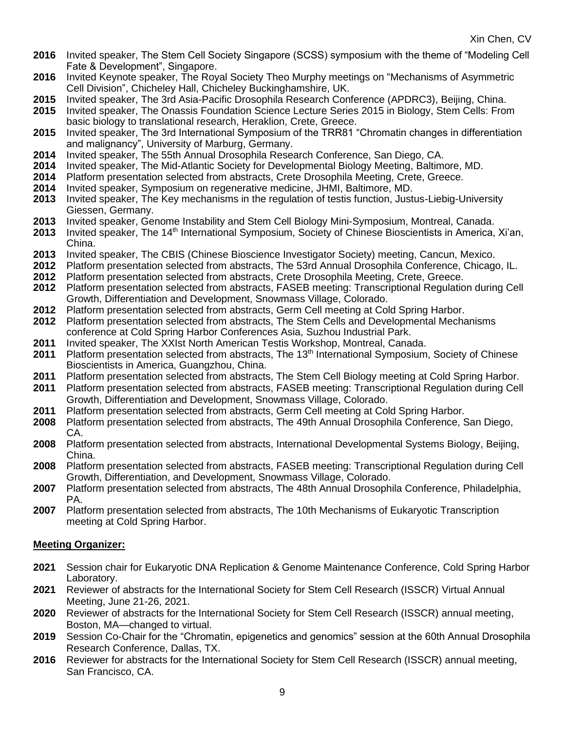- **2016** Invited speaker, The Stem Cell Society Singapore (SCSS) symposium with the theme of "Modeling Cell Fate & Development", Singapore.
- **2016** Invited Keynote speaker, The Royal Society Theo Murphy meetings on "Mechanisms of Asymmetric Cell Division", Chicheley Hall, Chicheley Buckinghamshire, UK.
- **2015** Invited speaker, The 3rd Asia-Pacific Drosophila Research Conference (APDRC3), Beijing, China.
- **2015** Invited speaker, The Onassis Foundation Science Lecture Series 2015 in Biology, Stem Cells: From basic biology to translational research, Heraklion, Crete, Greece.
- **2015** Invited speaker, The 3rd International Symposium of the TRR81 "Chromatin changes in differentiation and malignancy", University of Marburg, Germany.
- **2014** Invited speaker, The 55th Annual Drosophila Research Conference, San Diego, CA.
- **2014** Invited speaker, The Mid-Atlantic Society for Developmental Biology Meeting, Baltimore, MD.
- **2014** Platform presentation selected from abstracts, Crete Drosophila Meeting, Crete, Greece.
- **2014** Invited speaker, Symposium on regenerative medicine, JHMI, Baltimore, MD.
- **2013** Invited speaker, The Key mechanisms in the regulation of testis function, Justus-Liebig-University Giessen, Germany.
- **2013** Invited speaker, Genome Instability and Stem Cell Biology Mini-Symposium, Montreal, Canada.
- 2013 Invited speaker, The 14<sup>th</sup> International Symposium, Society of Chinese Bioscientists in America, Xi'an, China.
- **2013** Invited speaker, The CBIS (Chinese Bioscience Investigator Society) meeting, Cancun, Mexico.
- **2012** Platform presentation selected from abstracts, The 53rd Annual Drosophila Conference, Chicago, IL.
- **2012** Platform presentation selected from abstracts, Crete Drosophila Meeting, Crete, Greece.
- **2012** Platform presentation selected from abstracts, FASEB meeting: Transcriptional Regulation during Cell Growth, Differentiation and Development, Snowmass Village, Colorado.
- **2012** Platform presentation selected from abstracts, Germ Cell meeting at Cold Spring Harbor.
- **2012** Platform presentation selected from abstracts, The Stem Cells and Developmental Mechanisms conference at Cold Spring Harbor Conferences Asia, Suzhou Industrial Park.
- **2011** Invited speaker, The XXIst North American Testis Workshop, Montreal, Canada.
- **2011** Platform presentation selected from abstracts, The 13th International Symposium, Society of Chinese Bioscientists in America, Guangzhou, China.
- **2011** Platform presentation selected from abstracts, The Stem Cell Biology meeting at Cold Spring Harbor.
- **2011** Platform presentation selected from abstracts, FASEB meeting: Transcriptional Regulation during Cell Growth, Differentiation and Development, Snowmass Village, Colorado.
- **2011** Platform presentation selected from abstracts, Germ Cell meeting at Cold Spring Harbor.
- **2008** Platform presentation selected from abstracts, The 49th Annual Drosophila Conference, San Diego, CA.
- **2008** Platform presentation selected from abstracts, International Developmental Systems Biology, Beijing, China.
- **2008** Platform presentation selected from abstracts, FASEB meeting: Transcriptional Regulation during Cell Growth, Differentiation, and Development, Snowmass Village, Colorado.
- **2007** Platform presentation selected from abstracts, The 48th Annual Drosophila Conference, Philadelphia, PA.
- **2007** Platform presentation selected from abstracts, The 10th Mechanisms of Eukaryotic Transcription meeting at Cold Spring Harbor.

## **Meeting Organizer:**

- **2021** Session chair for Eukaryotic DNA Replication & Genome Maintenance Conference, Cold Spring Harbor Laboratory.
- **2021** Reviewer of abstracts for the International Society for Stem Cell Research (ISSCR) Virtual Annual Meeting, June 21-26, 2021.
- **2020** Reviewer of abstracts for the International Society for Stem Cell Research (ISSCR) annual meeting, Boston, MA—changed to virtual.
- **2019** Session Co-Chair for the "Chromatin, epigenetics and genomics" session at the 60th Annual Drosophila Research Conference, Dallas, TX.
- **2016** Reviewer for abstracts for the International Society for Stem Cell Research (ISSCR) annual meeting, San Francisco, CA.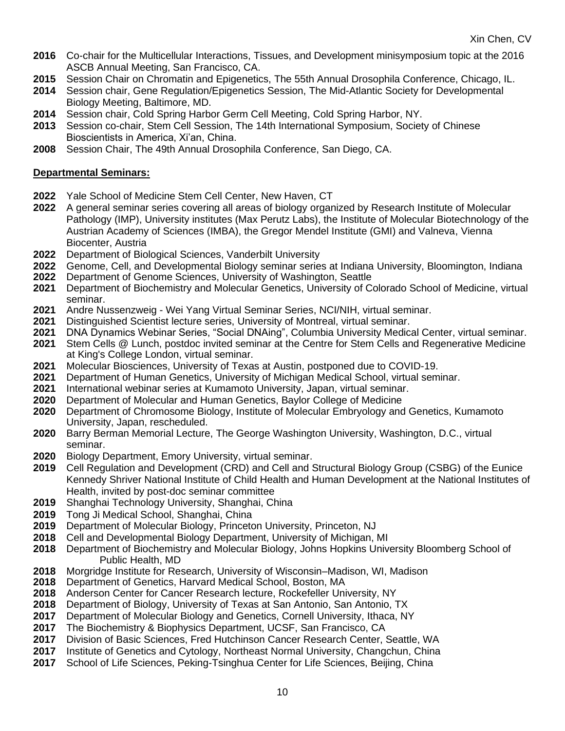- Co-chair for the Multicellular Interactions, Tissues, and Development minisymposium topic at the 2016 ASCB Annual Meeting, San Francisco, CA.
- Session Chair on Chromatin and Epigenetics, The 55th Annual Drosophila Conference, Chicago, IL.
- Session chair, Gene Regulation/Epigenetics Session, The Mid-Atlantic Society for Developmental Biology Meeting, Baltimore, MD.
- Session chair, Cold Spring Harbor Germ Cell Meeting, Cold Spring Harbor, NY.
- Session co-chair, Stem Cell Session, The 14th International Symposium, Society of Chinese Bioscientists in America, Xi'an, China.
- Session Chair, The 49th Annual Drosophila Conference, San Diego, CA.

## **Departmental Seminars:**

- Yale School of Medicine Stem Cell Center, New Haven, CT
- A general seminar series covering all areas of biology organized by Research Institute of Molecular Pathology (IMP), University institutes (Max Perutz Labs), the Institute of Molecular Biotechnology of the Austrian Academy of Sciences (IMBA), the Gregor Mendel Institute (GMI) and Valneva, Vienna Biocenter, Austria
- Department of Biological Sciences, Vanderbilt University
- 2022 Genome, Cell, and Developmental Biology seminar series at Indiana University, Bloomington, Indiana<br>2022 Department of Genome Sciences, University of Washington, Seattle
- Department of Genome Sciences, University of Washington, Seattle
- Department of Biochemistry and Molecular Genetics, University of Colorado School of Medicine, virtual seminar.
- Andre Nussenzweig Wei Yang Virtual Seminar Series, NCI/NIH, virtual seminar.
- Distinguished Scientist lecture series, University of Montreal, virtual seminar.
- DNA Dynamics Webinar Series, "Social DNAing", Columbia University Medical Center, virtual seminar.
- Stem Cells @ Lunch, postdoc invited seminar at the Centre for Stem Cells and Regenerative Medicine at King's College London, virtual seminar.
- Molecular Biosciences, University of Texas at Austin, postponed due to COVID-19.
- Department of Human Genetics, University of Michigan Medical School, virtual seminar.
- International webinar series at Kumamoto University, Japan, virtual seminar.
- Department of Molecular and Human Genetics, Baylor College of Medicine
- Department of Chromosome Biology, Institute of Molecular Embryology and Genetics, Kumamoto University, Japan, rescheduled.
- Barry Berman Memorial Lecture, The George Washington University, Washington, D.C., virtual seminar.
- Biology Department, Emory University, virtual seminar.
- Cell Regulation and Development (CRD) and Cell and Structural Biology Group (CSBG) of the Eunice Kennedy Shriver National Institute of Child Health and Human Development at the National Institutes of Health, invited by post-doc seminar committee
- Shanghai Technology University, Shanghai, China
- Tong Ji Medical School, Shanghai, China
- Department of Molecular Biology, Princeton University, Princeton, NJ
- Cell and Developmental Biology Department, University of Michigan, MI
- Department of Biochemistry and Molecular Biology, Johns Hopkins University Bloomberg School of Public Health, MD
- Morgridge Institute for Research, University of Wisconsin–Madison, WI, Madison
- Department of Genetics, Harvard Medical School, Boston, MA
- Anderson Center for Cancer Research lecture, Rockefeller University, NY
- Department of Biology, University of Texas at San Antonio, San Antonio, TX
- Department of Molecular Biology and Genetics, Cornell University, Ithaca, NY
- The Biochemistry & Biophysics Department, UCSF, San Francisco, CA
- Division of Basic Sciences, Fred Hutchinson Cancer Research Center, Seattle, WA
- Institute of Genetics and Cytology, Northeast Normal University, Changchun, China
- School of Life Sciences, Peking-Tsinghua Center for Life Sciences, Beijing, China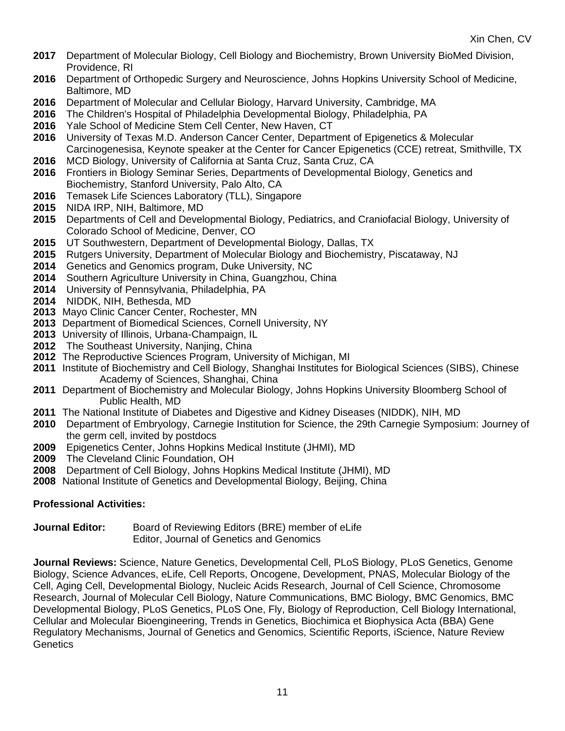- Department of Molecular Biology, Cell Biology and Biochemistry, Brown University BioMed Division, Providence, RI
- Department of Orthopedic Surgery and Neuroscience, Johns Hopkins University School of Medicine, Baltimore, MD
- Department of Molecular and Cellular Biology, Harvard University, Cambridge, MA
- The Children's Hospital of Philadelphia Developmental Biology, Philadelphia, PA
- Yale School of Medicine Stem Cell Center, New Haven, CT
- University of Texas M.D. Anderson Cancer Center, Department of Epigenetics & Molecular Carcinogenesisa, Keynote speaker at the Center for Cancer Epigenetics (CCE) retreat, Smithville, TX
- MCD Biology, University of California at Santa Cruz, Santa Cruz, CA
- Frontiers in Biology Seminar Series, Departments of Developmental Biology, Genetics and Biochemistry, Stanford University, Palo Alto, CA
- Temasek Life Sciences Laboratory (TLL), Singapore
- NIDA IRP, NIH, Baltimore, MD
- Departments of Cell and Developmental Biology, Pediatrics, and Craniofacial Biology, University of Colorado School of Medicine, Denver, CO
- UT Southwestern, Department of Developmental Biology, Dallas, TX
- Rutgers University, Department of Molecular Biology and Biochemistry, Piscataway, NJ
- Genetics and Genomics program, Duke University, NC
- Southern Agriculture University in China, Guangzhou, China
- University of Pennsylvania, Philadelphia, PA
- NIDDK, NIH, Bethesda, MD
- Mayo Clinic Cancer Center, Rochester, MN
- Department of Biomedical Sciences, Cornell University, NY
- University of Illinois, Urbana-Champaign, IL
- The Southeast University, Nanjing, China
- The Reproductive Sciences Program, University of Michigan, MI
- Institute of Biochemistry and Cell Biology, Shanghai Institutes for Biological Sciences (SIBS), Chinese Academy of Sciences, Shanghai, China
- Department of Biochemistry and Molecular Biology, Johns Hopkins University Bloomberg School of Public Health, MD
- The National Institute of Diabetes and Digestive and Kidney Diseases (NIDDK), NIH, MD
- Department of Embryology, Carnegie Institution for Science, the 29th Carnegie Symposium: Journey of the germ cell, invited by postdocs
- Epigenetics Center, Johns Hopkins Medical Institute (JHMI), MD
- The Cleveland Clinic Foundation, OH
- Department of Cell Biology, Johns Hopkins Medical Institute (JHMI), MD
- National Institute of Genetics and Developmental Biology, Beijing, China

## **Professional Activities:**

**Journal Editor:** Board of Reviewing Editors (BRE) member of eLife Editor, Journal of Genetics and Genomics

**Journal Reviews:** Science, Nature Genetics, Developmental Cell, PLoS Biology, PLoS Genetics, Genome Biology, Science Advances, eLife, Cell Reports, Oncogene, Development, PNAS, Molecular Biology of the Cell, Aging Cell, Developmental Biology, Nucleic Acids Research, Journal of Cell Science, Chromosome Research, Journal of Molecular Cell Biology, Nature Communications, BMC Biology, BMC Genomics, BMC Developmental Biology, PLoS Genetics, PLoS One, Fly, Biology of Reproduction, Cell Biology International, Cellular and Molecular Bioengineering, Trends in Genetics, Biochimica et Biophysica Acta (BBA) Gene Regulatory Mechanisms, Journal of Genetics and Genomics, Scientific Reports, iScience, Nature Review **Genetics**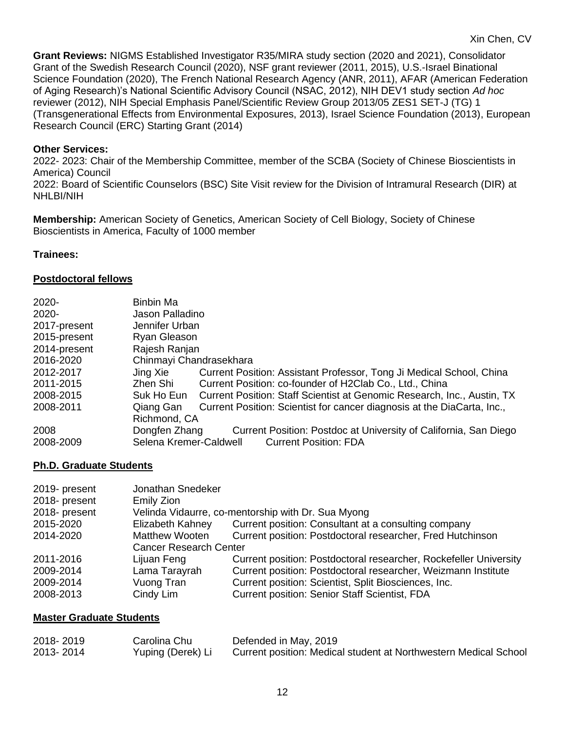**Grant Reviews:** NIGMS Established Investigator R35/MIRA study section (2020 and 2021), Consolidator Grant of the Swedish Research Council (2020), NSF grant reviewer (2011, 2015), U.S.-Israel Binational Science Foundation (2020), The French National Research Agency (ANR, 2011), AFAR (American Federation of Aging Research)'s National Scientific Advisory Council (NSAC, 2012), NIH DEV1 study section *Ad hoc* reviewer (2012), NIH Special Emphasis Panel/Scientific Review Group 2013/05 ZES1 SET-J (TG) 1 (Transgenerational Effects from Environmental Exposures, 2013), Israel Science Foundation (2013), European Research Council (ERC) Starting Grant (2014)

#### **Other Services:**

2022- 2023: Chair of the Membership Committee, member of the SCBA (Society of Chinese Bioscientists in America) Council 2022: Board of Scientific Counselors (BSC) Site Visit review for the Division of Intramural Research (DIR) at NHLBI/NIH

**Membership:** American Society of Genetics, American Society of Cell Biology, Society of Chinese Bioscientists in America, Faculty of 1000 member

#### **Trainees:**

#### **Postdoctoral fellows**

| 2020-        | <b>Binbin Ma</b>                                                                      |
|--------------|---------------------------------------------------------------------------------------|
| 2020-        | Jason Palladino                                                                       |
| 2017-present | Jennifer Urban                                                                        |
| 2015-present | Ryan Gleason                                                                          |
| 2014-present | Rajesh Ranjan                                                                         |
| 2016-2020    | Chinmayi Chandrasekhara                                                               |
| 2012-2017    | Current Position: Assistant Professor, Tong Ji Medical School, China<br>Jing Xie      |
| 2011-2015    | Zhen Shi<br>Current Position: co-founder of H2Clab Co., Ltd., China                   |
| 2008-2015    | Suk Ho Eun<br>Current Position: Staff Scientist at Genomic Research, Inc., Austin, TX |
| 2008-2011    | Qiang Gan<br>Current Position: Scientist for cancer diagnosis at the DiaCarta, Inc.,  |
|              | Richmond, CA                                                                          |
| 2008         | Dongfen Zhang<br>Current Position: Postdoc at University of California, San Diego     |
| 2008-2009    | Selena Kremer-Caldwell<br><b>Current Position: FDA</b>                                |

#### **Ph.D. Graduate Students**

| 2019- present<br>2018- present | Jonathan Snedeker<br>Emily Zion |                                                                   |
|--------------------------------|---------------------------------|-------------------------------------------------------------------|
| 2018- present                  |                                 | Velinda Vidaurre, co-mentorship with Dr. Sua Myong                |
| 2015-2020                      | Elizabeth Kahney                | Current position: Consultant at a consulting company              |
| 2014-2020                      | <b>Matthew Wooten</b>           | Current position: Postdoctoral researcher, Fred Hutchinson        |
|                                | <b>Cancer Research Center</b>   |                                                                   |
| 2011-2016                      | Lijuan Feng                     | Current position: Postdoctoral researcher, Rockefeller University |
| 2009-2014                      | Lama Tarayrah                   | Current position: Postdoctoral researcher, Weizmann Institute     |
| 2009-2014                      | Vuong Tran                      | Current position: Scientist, Split Biosciences, Inc.              |
| 2008-2013                      | Cindy Lim                       | <b>Current position: Senior Staff Scientist, FDA</b>              |

#### **Master Graduate Students**

| 2018-2019 | Carolina Chu      | Defended in May, 2019                                            |
|-----------|-------------------|------------------------------------------------------------------|
| 2013-2014 | Yuping (Derek) Li | Current position: Medical student at Northwestern Medical School |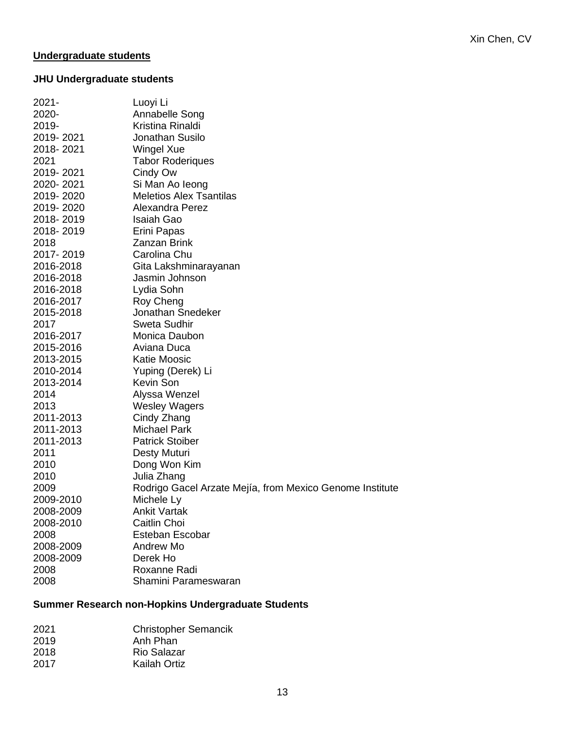## **Undergraduate students**

# **JHU Undergraduate students**

| $2021 -$<br>2020-<br>2019-<br>2019-2021<br>2018-2021<br>2021<br>2019-2021<br>2020-2021<br>2019-2020<br>2019-2020<br>2018-2019<br>2018-2019<br>2018<br>2017-2019<br>2016-2018<br>2016-2018<br>2016-2018<br>2016-2017<br>2015-2018<br>2017<br>2016-2017<br>2015-2016<br>2013-2015<br>2010-2014<br>2013-2014<br>2014<br>2013<br>2011-2013<br>2011-2013<br>2011-2013<br>2011<br>2010<br>2010<br>2009<br>2009-2010 | Luoyi Li<br>Annabelle Song<br>Kristina Rinaldi<br>Jonathan Susilo<br>Wingel Xue<br><b>Tabor Roderiques</b><br>Cindy Ow<br>Si Man Ao leong<br><b>Meletios Alex Tsantilas</b><br>Alexandra Perez<br>Isaiah Gao<br>Erini Papas<br><b>Zanzan Brink</b><br>Carolina Chu<br>Gita Lakshminarayanan<br>Jasmin Johnson<br>Lydia Sohn<br>Roy Cheng<br>Jonathan Snedeker<br>Sweta Sudhir<br>Monica Daubon<br>Aviana Duca<br><b>Katie Moosic</b><br>Yuping (Derek) Li<br><b>Kevin Son</b><br>Alyssa Wenzel<br><b>Wesley Wagers</b><br>Cindy Zhang<br><b>Michael Park</b><br><b>Patrick Stoiber</b><br>Desty Muturi<br>Dong Won Kim<br>Julia Zhang<br>Rodrigo Gacel Arzate Mejía, from Mexico Genome Institute<br>Michele Ly |
|---------------------------------------------------------------------------------------------------------------------------------------------------------------------------------------------------------------------------------------------------------------------------------------------------------------------------------------------------------------------------------------------------------------|-----------------------------------------------------------------------------------------------------------------------------------------------------------------------------------------------------------------------------------------------------------------------------------------------------------------------------------------------------------------------------------------------------------------------------------------------------------------------------------------------------------------------------------------------------------------------------------------------------------------------------------------------------------------------------------------------------------------|
|                                                                                                                                                                                                                                                                                                                                                                                                               |                                                                                                                                                                                                                                                                                                                                                                                                                                                                                                                                                                                                                                                                                                                 |
|                                                                                                                                                                                                                                                                                                                                                                                                               |                                                                                                                                                                                                                                                                                                                                                                                                                                                                                                                                                                                                                                                                                                                 |
| 2008-2009                                                                                                                                                                                                                                                                                                                                                                                                     | <b>Ankit Vartak</b>                                                                                                                                                                                                                                                                                                                                                                                                                                                                                                                                                                                                                                                                                             |
| 2008-2010                                                                                                                                                                                                                                                                                                                                                                                                     | Caitlin Choi                                                                                                                                                                                                                                                                                                                                                                                                                                                                                                                                                                                                                                                                                                    |
| 2008                                                                                                                                                                                                                                                                                                                                                                                                          | Esteban Escobar                                                                                                                                                                                                                                                                                                                                                                                                                                                                                                                                                                                                                                                                                                 |
| 2008-2009                                                                                                                                                                                                                                                                                                                                                                                                     | Andrew Mo                                                                                                                                                                                                                                                                                                                                                                                                                                                                                                                                                                                                                                                                                                       |
| 2008-2009                                                                                                                                                                                                                                                                                                                                                                                                     | Derek Ho                                                                                                                                                                                                                                                                                                                                                                                                                                                                                                                                                                                                                                                                                                        |
| 2008                                                                                                                                                                                                                                                                                                                                                                                                          | Roxanne Radi                                                                                                                                                                                                                                                                                                                                                                                                                                                                                                                                                                                                                                                                                                    |
| 2008                                                                                                                                                                                                                                                                                                                                                                                                          | Shamini Parameswaran                                                                                                                                                                                                                                                                                                                                                                                                                                                                                                                                                                                                                                                                                            |

## **Summer Research non-Hopkins Undergraduate Students**

| 2021 | <b>Christopher Semancik</b> |
|------|-----------------------------|
| 2019 | Anh Phan                    |
| 2018 | Rio Salazar                 |
| 2017 | Kailah Ortiz                |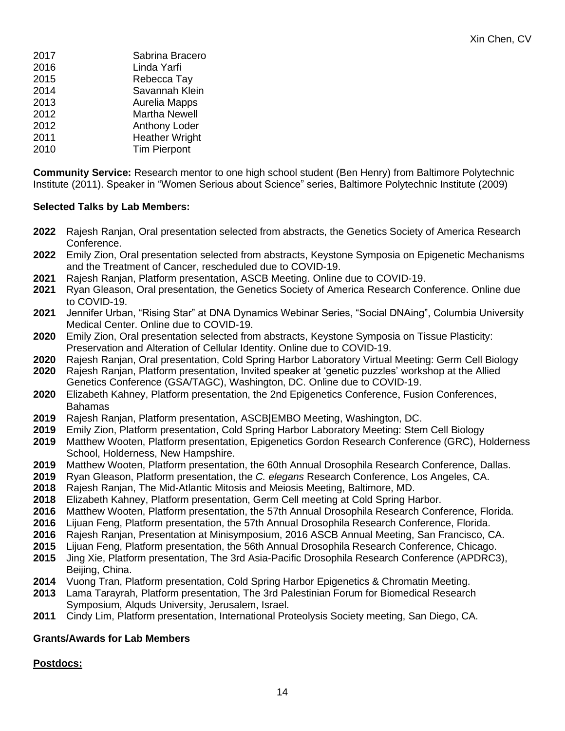| 2017 | Sabrina Bracero       |
|------|-----------------------|
| 2016 | Linda Yarfi           |
| 2015 | Rebecca Tay           |
| 2014 | Savannah Klein        |
| 2013 | Aurelia Mapps         |
| 2012 | <b>Martha Newell</b>  |
| 2012 | <b>Anthony Loder</b>  |
| 2011 | <b>Heather Wright</b> |
| 2010 | <b>Tim Pierpont</b>   |
|      |                       |

**Community Service:** Research mentor to one high school student (Ben Henry) from Baltimore Polytechnic Institute (2011). Speaker in "Women Serious about Science" series, Baltimore Polytechnic Institute (2009)

## **Selected Talks by Lab Members:**

- Rajesh Ranjan, Oral presentation selected from abstracts, the Genetics Society of America Research Conference.
- Emily Zion, Oral presentation selected from abstracts, Keystone Symposia on Epigenetic Mechanisms and the Treatment of Cancer, rescheduled due to COVID-19.
- Rajesh Ranjan, Platform presentation, ASCB Meeting. Online due to COVID-19.
- Ryan Gleason, Oral presentation, the Genetics Society of America Research Conference. Online due to COVID-19.
- Jennifer Urban, "Rising Star" at DNA Dynamics Webinar Series, "Social DNAing", Columbia University Medical Center. Online due to COVID-19.
- Emily Zion, Oral presentation selected from abstracts, Keystone Symposia on Tissue Plasticity: Preservation and Alteration of Cellular Identity. Online due to COVID-19.
- Rajesh Ranjan, Oral presentation, Cold Spring Harbor Laboratory Virtual Meeting: Germ Cell Biology Rajesh Ranjan, Platform presentation, Invited speaker at 'genetic puzzles' workshop at the Allied Genetics Conference (GSA/TAGC), Washington, DC. Online due to COVID-19.
- Elizabeth Kahney, Platform presentation, the 2nd Epigenetics Conference, Fusion Conferences, Bahamas
- Rajesh Ranjan, Platform presentation, ASCB|EMBO Meeting, Washington, DC.
- Emily Zion, Platform presentation, Cold Spring Harbor Laboratory Meeting: Stem Cell Biology
- Matthew Wooten, Platform presentation, Epigenetics Gordon Research Conference (GRC), Holderness School, Holderness, New Hampshire.
- Matthew Wooten, Platform presentation, the 60th Annual Drosophila Research Conference, Dallas.
- Ryan Gleason, Platform presentation, the *C. elegans* Research Conference, Los Angeles, CA.
- Rajesh Ranjan, The Mid-Atlantic Mitosis and Meiosis Meeting, Baltimore, MD.
- Elizabeth Kahney, Platform presentation, Germ Cell meeting at Cold Spring Harbor.
- Matthew Wooten, Platform presentation, the 57th Annual Drosophila Research Conference, Florida.
- Lijuan Feng, Platform presentation, the 57th Annual Drosophila Research Conference, Florida.
- Rajesh Ranjan, Presentation at Minisymposium, 2016 ASCB Annual Meeting, San Francisco, CA.
- Lijuan Feng, Platform presentation, the 56th Annual Drosophila Research Conference, Chicago.
- Jing Xie, Platform presentation, The 3rd Asia-Pacific Drosophila Research Conference (APDRC3), Beiling, China.
- Vuong Tran, Platform presentation, Cold Spring Harbor Epigenetics & Chromatin Meeting.
- Lama Tarayrah, Platform presentation, The 3rd Palestinian Forum for Biomedical Research Symposium, Alquds University, Jerusalem, Israel.
- Cindy Lim, Platform presentation, International Proteolysis Society meeting, San Diego, CA.

## **Grants/Awards for Lab Members**

## **Postdocs:**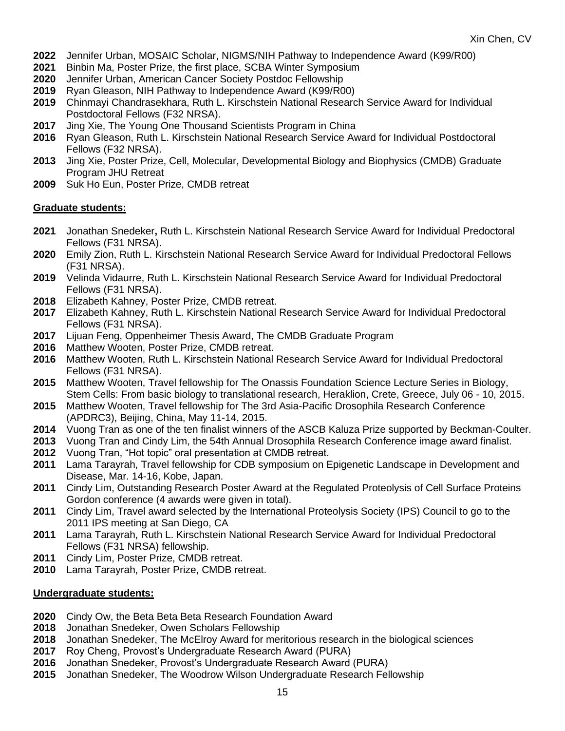- Jennifer Urban, MOSAIC Scholar, NIGMS/NIH Pathway to Independence Award (K99/R00)
- Binbin Ma, Poster Prize, the first place, SCBA Winter Symposium
- Jennifer Urban, American Cancer Society Postdoc Fellowship
- Ryan Gleason, NIH Pathway to Independence Award (K99/R00)
- Chinmayi Chandrasekhara, Ruth L. Kirschstein National Research Service Award for Individual Postdoctoral Fellows (F32 NRSA).
- Jing Xie, The Young One Thousand Scientists Program in China
- Ryan Gleason, Ruth L. Kirschstein National Research Service Award for Individual Postdoctoral Fellows (F32 NRSA).
- Jing Xie, Poster Prize, Cell, Molecular, Developmental Biology and Biophysics (CMDB) Graduate Program JHU Retreat
- Suk Ho Eun, Poster Prize, CMDB retreat

## **Graduate students:**

- Jonathan Snedeker**,** Ruth L. Kirschstein National Research Service Award for Individual Predoctoral Fellows (F31 NRSA).
- Emily Zion, Ruth L. Kirschstein National Research Service Award for Individual Predoctoral Fellows (F31 NRSA).
- Velinda Vidaurre, Ruth L. Kirschstein National Research Service Award for Individual Predoctoral Fellows (F31 NRSA).
- Elizabeth Kahney, Poster Prize, CMDB retreat.
- Elizabeth Kahney, Ruth L. Kirschstein National Research Service Award for Individual Predoctoral Fellows (F31 NRSA).
- Lijuan Feng, Oppenheimer Thesis Award, The CMDB Graduate Program
- Matthew Wooten, Poster Prize, CMDB retreat.
- Matthew Wooten, Ruth L. Kirschstein National Research Service Award for Individual Predoctoral Fellows (F31 NRSA).
- Matthew Wooten, Travel fellowship for The Onassis Foundation Science Lecture Series in Biology, Stem Cells: From basic biology to translational research, Heraklion, Crete, Greece, July 06 - 10, 2015.
- Matthew Wooten, Travel fellowship for The 3rd Asia-Pacific Drosophila Research Conference (APDRC3), Beijing, China, May 11-14, 2015.
- Vuong Tran as one of the ten finalist winners of the ASCB Kaluza Prize supported by Beckman-Coulter.
- Vuong Tran and Cindy Lim, the 54th Annual Drosophila Research Conference image award finalist.
- Vuong Tran, "Hot topic" oral presentation at CMDB retreat.
- Lama Tarayrah, Travel fellowship for CDB symposium on Epigenetic Landscape in Development and Disease, Mar. 14-16, Kobe, Japan.
- Cindy Lim, Outstanding Research Poster Award at the Regulated Proteolysis of Cell Surface Proteins Gordon conference (4 awards were given in total).
- Cindy Lim, Travel award selected by the International Proteolysis Society (IPS) Council to go to the 2011 IPS meeting at San Diego, CA
- Lama Tarayrah, Ruth L. Kirschstein National Research Service Award for Individual Predoctoral Fellows (F31 NRSA) fellowship.
- Cindy Lim, Poster Prize, CMDB retreat.
- Lama Tarayrah, Poster Prize, CMDB retreat.

#### **Undergraduate students:**

- Cindy Ow, the Beta Beta Beta Research Foundation Award
- Jonathan Snedeker, Owen Scholars Fellowship
- Jonathan Snedeker, The McElroy Award for meritorious research in the biological sciences
- Roy Cheng, Provost's Undergraduate Research Award (PURA)
- Jonathan Snedeker, Provost's Undergraduate Research Award (PURA)
- Jonathan Snedeker, The Woodrow Wilson Undergraduate Research Fellowship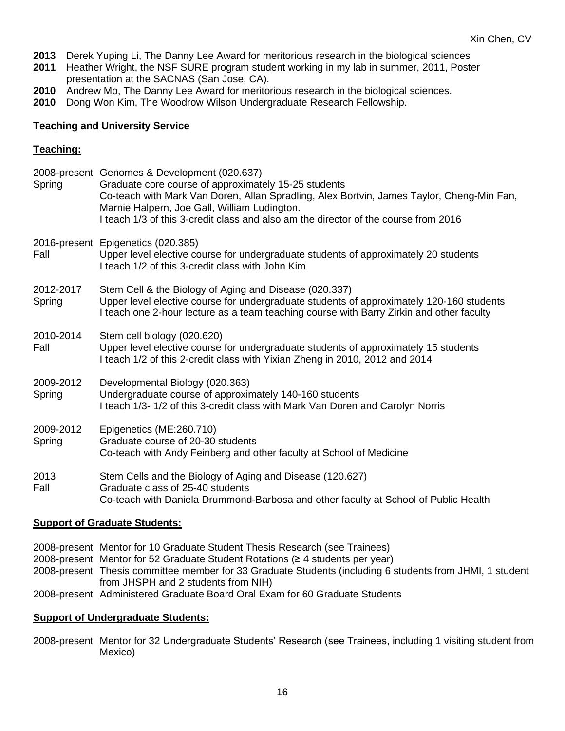- **2013** Derek Yuping Li, The Danny Lee Award for meritorious research in the biological sciences
- **2011** Heather Wright, the NSF SURE program student working in my lab in summer, 2011, Poster presentation at the SACNAS (San Jose, CA).
- **2010** Andrew Mo, The Danny Lee Award for meritorious research in the biological sciences.
- **2010** Dong Won Kim, The Woodrow Wilson Undergraduate Research Fellowship.

#### **Teaching and University Service**

### **Teaching:**

| Spring              | 2008-present Genomes & Development (020.637)<br>Graduate core course of approximately 15-25 students<br>Co-teach with Mark Van Doren, Allan Spradling, Alex Bortvin, James Taylor, Cheng-Min Fan,<br>Marnie Halpern, Joe Gall, William Ludington.<br>I teach 1/3 of this 3-credit class and also am the director of the course from 2016 |
|---------------------|------------------------------------------------------------------------------------------------------------------------------------------------------------------------------------------------------------------------------------------------------------------------------------------------------------------------------------------|
| Fall                | 2016-present Epigenetics (020.385)<br>Upper level elective course for undergraduate students of approximately 20 students<br>I teach 1/2 of this 3-credit class with John Kim                                                                                                                                                            |
| 2012-2017<br>Spring | Stem Cell & the Biology of Aging and Disease (020.337)<br>Upper level elective course for undergraduate students of approximately 120-160 students<br>I teach one 2-hour lecture as a team teaching course with Barry Zirkin and other faculty                                                                                           |
| 2010-2014<br>Fall   | Stem cell biology (020.620)<br>Upper level elective course for undergraduate students of approximately 15 students<br>I teach 1/2 of this 2-credit class with Yixian Zheng in 2010, 2012 and 2014                                                                                                                                        |
| 2009-2012<br>Spring | Developmental Biology (020.363)<br>Undergraduate course of approximately 140-160 students<br>I teach 1/3-1/2 of this 3-credit class with Mark Van Doren and Carolyn Norris                                                                                                                                                               |
| 2009-2012<br>Spring | Epigenetics (ME:260.710)<br>Graduate course of 20-30 students<br>Co-teach with Andy Feinberg and other faculty at School of Medicine                                                                                                                                                                                                     |
| 2013<br>Fall        | Stem Cells and the Biology of Aging and Disease (120.627)<br>Graduate class of 25-40 students<br>Co-teach with Daniela Drummond-Barbosa and other faculty at School of Public Health                                                                                                                                                     |

## **Support of Graduate Students:**

- 2008-present Mentor for 10 Graduate Student Thesis Research (see Trainees)
- 2008-present Mentor for 52 Graduate Student Rotations (≥ 4 students per year)
- 2008-present Thesis committee member for 33 Graduate Students (including 6 students from JHMI, 1 student from JHSPH and 2 students from NIH)
- 2008-present Administered Graduate Board Oral Exam for 60 Graduate Students

#### **Support of Undergraduate Students:**

2008-present Mentor for 32 Undergraduate Students' Research (see Trainees, including 1 visiting student from Mexico)